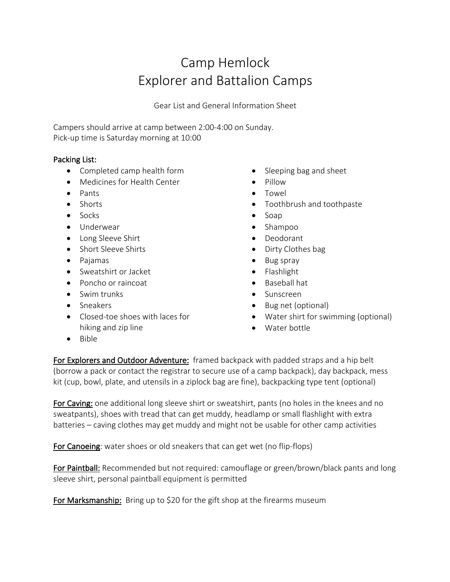# Camp Hemlock Explorer and Battalion Camps

Gear List and General Information Sheet

Campers should arrive at camp between 2:00-4:00 on Sunday. Pick-up time is Saturday morning at 10:00

### Packing List:

- Completed camp health form
- Medicines for Health Center
- Pants
- Shorts
- Socks
- Underwear
- Long Sleeve Shirt
- Short Sleeve Shirts
- Pajamas
- Sweatshirt or Jacket
- Poncho or raincoat
- Swim trunks
- Sneakers
- Closed-toe shoes with laces for hiking and zip line
- Sleeping bag and sheet
- Pillow
- Towel
- Toothbrush and toothpaste
- Soap
- Shampoo
- Deodorant
- Dirty Clothes bag
- Bug spray
- Flashlight
- Baseball hat
- Sunscreen
- Bug net (optional)
- Water shirt for swimming (optional)
- Water bottle

• Bible

For Explorers and Outdoor Adventure: framed backpack with padded straps and a hip belt (borrow a pack or contact the registrar to secure use of a camp backpack), day backpack, mess kit (cup, bowl, plate, and utensils in a ziplock bag are fine), backpacking type tent (optional)

For Caving: one additional long sleeve shirt or sweatshirt, pants (no holes in the knees and no sweatpants), shoes with tread that can get muddy, headlamp or small flashlight with extra batteries – caving clothes may get muddy and might not be usable for other camp activities

For Canoeing: water shoes or old sneakers that can get wet (no flip-flops)

For Paintball: Recommended but not required: camouflage or green/brown/black pants and long sleeve shirt, personal paintball equipment is permitted

For Marksmanship: Bring up to \$20 for the gift shop at the firearms museum